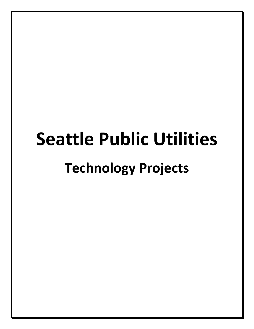# **Seattle Public Utilities Technology Projects**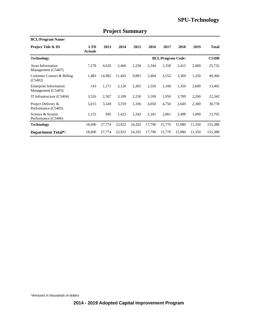| <b>BCL/Program Name/</b>                            |                              |        |        |        |        |                          |        |        |              |
|-----------------------------------------------------|------------------------------|--------|--------|--------|--------|--------------------------|--------|--------|--------------|
| <b>Project Title &amp; ID</b>                       | <b>LTD</b><br><b>Actuals</b> | 2013   | 2014   | 2015   | 2016   | 2017                     | 2018   | 2019   | <b>Total</b> |
| <b>Technology</b>                                   |                              |        |        |        |        | <b>BCL/Program Code:</b> |        |        | <b>C510B</b> |
| Asset Information<br>Management (C5407)             | 7,278                        | 4,620  | 2.460  | 2,258  | 2,344  | 2,358                    | 2.415  | 2,000  | 25,732       |
| Customer Contact & Billing<br>(C5402)               | 1,483                        | 14,982 | 11,445 | 9,881  | 3,404  | 3,552                    | 3,369  | 1,250  | 49,366       |
| <b>Enterprise Information</b><br>Management (C5403) | 143                          | 1,171  | 2,126  | 2,365  | 2,550  | 1,100                    | 1,350  | 2,600  | 13,405       |
| IT Infrastructure (C5404)                           | 3,526                        | 2,507  | 3,109  | 2,250  | 3,100  | 1,950                    | 3,700  | 2,200  | 22,343       |
| Project Delivery &<br>Performance (C5405)           | 5,015                        | 3,549  | 3,359  | 5,106  | 4,050  | 4,750                    | 2,649  | 2,300  | 30,778       |
| Science & System<br>Performance (C5406)             | 1,155                        | 945    | 1,423  | 2,342  | 2,341  | 2,061                    | 2,498  | 1,000  | 13,765       |
| <b>Technology</b>                                   | 18,600                       | 27,774 | 23,922 | 24,202 | 17,790 | 15,770                   | 15,980 | 11,350 | 155,388      |
| <b>Department Total*:</b>                           | 18,600                       | 27,774 | 23,922 | 24,202 | 17,790 | 15,770                   | 15,980 | 11,350 | 155,388      |

## **Project Summary**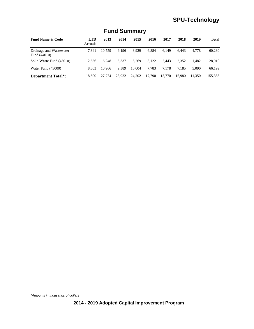| <b>Fund Name &amp; Code</b>             | <b>LTD</b><br><b>Actuals</b> | 2013   | 2014   | 2015   | 2016   | 2017   | 2018   | 2019   | <b>Total</b> |
|-----------------------------------------|------------------------------|--------|--------|--------|--------|--------|--------|--------|--------------|
| Drainage and Wastewater<br>Fund (44010) | 7.341                        | 10.559 | 9.196  | 8.929  | 6.884  | 6.149  | 6.443  | 4.778  | 60,280       |
| Solid Waste Fund (45010)                | 2.656                        | 6.248  | 5.337  | 5.269  | 3,122  | 2.443  | 2.352  | 1.482  | 28,910       |
| Water Fund (43000)                      | 8.603                        | 10.966 | 9.389  | 10.004 | 7.783  | 7.178  | 7.185  | 5.090  | 66,199       |
| <b>Department Total*:</b>               | 18.600                       | 27,774 | 23.922 | 24,202 | 17.790 | 15.770 | 15.980 | 11.350 | 155,388      |

### **Fund Summary**

\*Amounts in thousands of dollars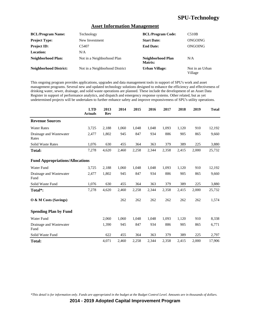#### **Asset Information Management**

| <b>BCL/Program Name:</b>      | Technology                     | <b>BCL/Program Code:</b>     | C510B                      |
|-------------------------------|--------------------------------|------------------------------|----------------------------|
| <b>Project Type:</b>          | New Investment                 | <b>Start Date:</b>           | ONGOING                    |
| <b>Project ID:</b>            | C <sub>5407</sub>              | <b>End Date:</b>             | ONGOING                    |
| Location:                     | N/A                            |                              |                            |
| <b>Neighborhood Plan:</b>     | Not in a Neighborhood Plan     | Neighborhood Plan<br>Matrix: | N/A                        |
| <b>Neighborhood District:</b> | Not in a Neighborhood District | <b>Urban Village:</b>        | Not in an Urban<br>Village |

This ongoing program provides applications, upgrades and data management tools in support of SPU's work and asset management programs. Several new and updated technology solutions designed to enhance the efficiency and effectiveness of drinking water, sewer, drainage, and solid waste operations are planned. These include the development of an Asset Data Register in support of performance analytics, and dispatch and emergency response systems. Other related, but as yet undetermined projects will be undertaken to further enhance safety and improve responsiveness of SPU's utility operations.

|                                        | <b>LTD</b><br><b>Actuals</b> | 2013<br>Rev | 2014  | 2015  | 2016  | 2017  | 2018  | 2019  | <b>Total</b> |
|----------------------------------------|------------------------------|-------------|-------|-------|-------|-------|-------|-------|--------------|
| <b>Revenue Sources</b>                 |                              |             |       |       |       |       |       |       |              |
| <b>Water Rates</b>                     | 3,725                        | 2,188       | 1,060 | 1,048 | 1,048 | 1,093 | 1,120 | 910   | 12,192       |
| Drainage and Wastewater<br>Rates       | 2,477                        | 1,802       | 945   | 847   | 934   | 886   | 905   | 865   | 9,660        |
| <b>Solid Waste Rates</b>               | 1,076                        | 630         | 455   | 364   | 363   | 379   | 389   | 225   | 3,880        |
| <b>Total:</b>                          | 7,278                        | 4,620       | 2,460 | 2,258 | 2,344 | 2,358 | 2,415 | 2,000 | 25,732       |
| <b>Fund Appropriations/Allocations</b> |                              |             |       |       |       |       |       |       |              |
| <b>Water Fund</b>                      | 3,725                        | 2,188       | 1,060 | 1,048 | 1,048 | 1,093 | 1,120 | 910   | 12,192       |
| Drainage and Wastewater<br>Fund        | 2,477                        | 1,802       | 945   | 847   | 934   | 886   | 905   | 865   | 9,660        |
| Solid Waste Fund                       | 1,076                        | 630         | 455   | 364   | 363   | 379   | 389   | 225   | 3,880        |
| Total*:                                | 7,278                        | 4,620       | 2,460 | 2,258 | 2,344 | 2,358 | 2,415 | 2,000 | 25,732       |
| $\overline{O}$ & M Costs (Savings)     |                              |             | 262   | 262   | 262   | 262   | 262   | 262   | 1,574        |
| <b>Spending Plan by Fund</b>           |                              |             |       |       |       |       |       |       |              |
| <b>Water Fund</b>                      |                              | 2,060       | 1,060 | 1,048 | 1,048 | 1,093 | 1,120 | 910   | 8,338        |
| Drainage and Wastewater<br>Fund        |                              | 1,390       | 945   | 847   | 934   | 886   | 905   | 865   | 6,771        |
| Solid Waste Fund                       |                              | 622         | 455   | 364   | 363   | 379   | 389   | 225   | 2,797        |
| Total:                                 |                              | 4,071       | 2,460 | 2,258 | 2,344 | 2,358 | 2,415 | 2,000 | 17,906       |

*\*This detail is for information only. Funds are appropriated in the budget at the Budget Control Level. Amounts are in thousands of dollars.*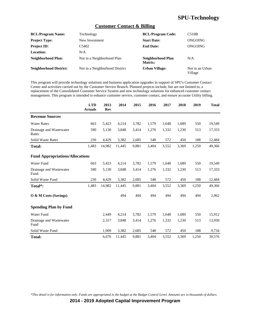#### **Customer Contact & Billing**

| <b>BCL/Program Name:</b>      | Technology                     | <b>BCL/Program Code:</b>     | C510B                      |
|-------------------------------|--------------------------------|------------------------------|----------------------------|
| <b>Project Type:</b>          | New Investment                 | <b>Start Date:</b>           | ONGOING                    |
| <b>Project ID:</b>            | C <sub>5402</sub>              | <b>End Date:</b>             | ONGOING                    |
| Location:                     | N/A                            |                              |                            |
| Neighborhood Plan:            | Not in a Neighborhood Plan     | Neighborhood Plan<br>Matrix: | N/A                        |
| <b>Neighborhood District:</b> | Not in a Neighborhood District | <b>Urban Village:</b>        | Not in an Urban<br>Village |

This program will provide technology solutions and business application upgrades in support of SPU's Customer Contact Center and activities carried out by the Customer Service Branch. Planned projects include, but are not limited to, a replacement of the Consolidated Customer Service System and new technology solutions for enhanced customer contact management. This program is intended to enhance customer service, customer contact, and ensure accurate Utility billing.

|                                        | <b>LTD</b><br><b>Actuals</b> | 2013<br>Rev | 2014   | 2015  | 2016  | 2017  | 2018  | 2019  | <b>Total</b> |
|----------------------------------------|------------------------------|-------------|--------|-------|-------|-------|-------|-------|--------------|
| <b>Revenue Sources</b>                 |                              |             |        |       |       |       |       |       |              |
| <b>Water Rates</b>                     | 663                          | 5,423       | 4,214  | 3,782 | 1,579 | 1,648 | 1,689 | 550   | 19,549       |
| Drainage and Wastewater<br>Rates       | 590                          | 5,130       | 3,848  | 3,414 | 1,276 | 1,332 | 1,230 | 513   | 17,333       |
| <b>Solid Waste Rates</b>               | 230                          | 4,429       | 3,382  | 2,685 | 548   | 572   | 450   | 188   | 12,484       |
| Total:                                 | 1,483                        | 14,982      | 11,445 | 9,881 | 3,404 | 3,552 | 3,369 | 1,250 | 49,366       |
| <b>Fund Appropriations/Allocations</b> |                              |             |        |       |       |       |       |       |              |
| <b>Water Fund</b>                      | 663                          | 5,423       | 4,214  | 3,782 | 1,579 | 1,648 | 1,689 | 550   | 19,549       |
| Drainage and Wastewater<br>Fund        | 590                          | 5,130       | 3,848  | 3,414 | 1,276 | 1.332 | 1,230 | 513   | 17,333       |
| Solid Waste Fund                       | 230                          | 4,429       | 3,382  | 2,685 | 548   | 572   | 450   | 188   | 12,484       |
| Total*:                                | 1,483                        | 14,982      | 11,445 | 9,881 | 3,404 | 3,552 | 3,369 | 1,250 | 49,366       |
| O & M Costs (Savings)                  |                              |             | 494    | 494   | 494   | 494   | 494   | 494   | 2,962        |
| <b>Spending Plan by Fund</b>           |                              |             |        |       |       |       |       |       |              |
| <b>Water Fund</b>                      |                              | 2,449       | 4,214  | 3,782 | 1,579 | 1,648 | 1,689 | 550   | 15,912       |
| Drainage and Wastewater<br>Fund        |                              | 2,317       | 3,848  | 3,414 | 1,276 | 1,332 | 1,230 | 513   | 13,930       |
| Solid Waste Fund                       |                              | 1,909       | 3,382  | 2,685 | 548   | 572   | 450   | 188   | 9,734        |
| <b>Total:</b>                          |                              | 6,676       | 11,445 | 9,881 | 3,404 | 3,552 | 3,369 | 1,250 | 39,576       |

*\*This detail is for information only. Funds are appropriated in the budget at the Budget Control Level. Amounts are in thousands of dollars.*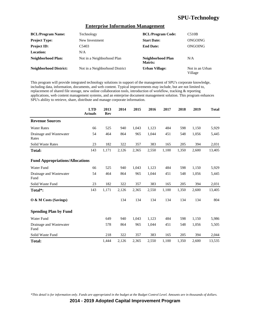#### **Enterprise Information Management**

| <b>BCL/Program Name:</b>      | Technology                     | <b>BCL/Program Code:</b>     | C510B                      |
|-------------------------------|--------------------------------|------------------------------|----------------------------|
| <b>Project Type:</b>          | New Investment                 | <b>Start Date:</b>           | ONGOING                    |
| <b>Project ID:</b>            | C <sub>5403</sub>              | <b>End Date:</b>             | ONGOING                    |
| Location:                     | N/A                            |                              |                            |
| <b>Neighborhood Plan:</b>     | Not in a Neighborhood Plan     | Neighborhood Plan<br>Matrix: | N/A                        |
| <b>Neighborhood District:</b> | Not in a Neighborhood District | <b>Urban Village:</b>        | Not in an Urban<br>Village |

This program will provide integrated technology solutions in support of the management of SPU's corporate knowledge, including data, information, documents, and web content. Typical improvements may include, but are not limited to, replacement of shared file storage, new online collaboration tools, introduction of workflow, tracking & reporting applications, web content management systems, and an enterprise document management solution. This program enhances SPU's ability to retrieve, share, distribute and manage corporate information.

|                                        | <b>LTD</b><br><b>Actuals</b> | 2013<br>Rev | 2014  | 2015  | 2016  | 2017  | 2018  | 2019  | <b>Total</b> |
|----------------------------------------|------------------------------|-------------|-------|-------|-------|-------|-------|-------|--------------|
| <b>Revenue Sources</b>                 |                              |             |       |       |       |       |       |       |              |
| <b>Water Rates</b>                     | 66                           | 525         | 940   | 1,043 | 1,123 | 484   | 598   | 1,150 | 5,929        |
| Drainage and Wastewater<br>Rates       | 54                           | 464         | 864   | 965   | 1,044 | 451   | 548   | 1,056 | 5,445        |
| <b>Solid Waste Rates</b>               | 23                           | 182         | 322   | 357   | 383   | 165   | 205   | 394   | 2,031        |
| <b>Total:</b>                          | 143                          | 1,171       | 2,126 | 2,365 | 2,550 | 1,100 | 1,350 | 2,600 | 13,405       |
| <b>Fund Appropriations/Allocations</b> |                              |             |       |       |       |       |       |       |              |
| <b>Water Fund</b>                      | 66                           | 525         | 940   | 1,043 | 1,123 | 484   | 598   | 1,150 | 5,929        |
| Drainage and Wastewater<br>Fund        | 54                           | 464         | 864   | 965   | 1,044 | 451   | 548   | 1,056 | 5,445        |
| Solid Waste Fund                       | 23                           | 182         | 322   | 357   | 383   | 165   | 205   | 394   | 2,031        |
| Total*:                                | 143                          | 1,171       | 2,126 | 2,365 | 2,550 | 1,100 | 1,350 | 2,600 | 13,405       |
| $\overline{O}$ & M Costs (Savings)     |                              |             | 134   | 134   | 134   | 134   | 134   | 134   | 804          |
| <b>Spending Plan by Fund</b>           |                              |             |       |       |       |       |       |       |              |
| <b>Water Fund</b>                      |                              | 649         | 940   | 1,043 | 1,123 | 484   | 598   | 1,150 | 5,986        |
| Drainage and Wastewater<br>Fund        |                              | 578         | 864   | 965   | 1,044 | 451   | 548   | 1,056 | 5,505        |
| Solid Waste Fund                       |                              | 218         | 322   | 357   | 383   | 165   | 205   | 394   | 2,044        |
| Total:                                 |                              | 1,444       | 2,126 | 2,365 | 2,550 | 1,100 | 1,350 | 2,600 | 13,535       |

*\*This detail is for information only. Funds are appropriated in the budget at the Budget Control Level. Amounts are in thousands of dollars.*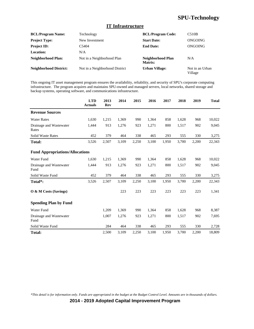#### **IT Infrastructure**

| <b>BCL/Program Name:</b>      | Technology                     | <b>BCL/Program Code:</b>     | C510B                      |
|-------------------------------|--------------------------------|------------------------------|----------------------------|
| <b>Project Type:</b>          | New Investment                 | <b>Start Date:</b>           | ONGOING                    |
| <b>Project ID:</b>            | C <sub>5404</sub>              | <b>End Date:</b>             | ONGOING                    |
| Location:                     | N/A                            |                              |                            |
| <b>Neighborhood Plan:</b>     | Not in a Neighborhood Plan     | Neighborhood Plan<br>Matrix: | N/A                        |
| <b>Neighborhood District:</b> | Not in a Neighborhood District | <b>Urban Village:</b>        | Not in an Urban<br>Village |

This ongoing IT asset management program ensures the availability, reliability, and security of SPU's corporate computing infrastructure. The program acquires and maintains SPU-owned and managed servers, local networks, shared storage and backup systems, operating software, and communications infrastructure.

|                                        | <b>LTD</b><br><b>Actuals</b> | 2013<br><b>Rev</b> | 2014  | 2015  | 2016  | 2017  | 2018  | 2019  | <b>Total</b> |
|----------------------------------------|------------------------------|--------------------|-------|-------|-------|-------|-------|-------|--------------|
| <b>Revenue Sources</b>                 |                              |                    |       |       |       |       |       |       |              |
| <b>Water Rates</b>                     | 1,630                        | 1,215              | 1,369 | 990   | 1,364 | 858   | 1,628 | 968   | 10,022       |
| Drainage and Wastewater<br>Rates       | 1,444                        | 913                | 1,276 | 923   | 1,271 | 800   | 1,517 | 902   | 9,045        |
| Solid Waste Rates                      | 452                          | 379                | 464   | 338   | 465   | 293   | 555   | 330   | 3,275        |
| <b>Total:</b>                          | 3,526                        | 2,507              | 3,109 | 2,250 | 3,100 | 1,950 | 3,700 | 2,200 | 22,343       |
| <b>Fund Appropriations/Allocations</b> |                              |                    |       |       |       |       |       |       |              |
| <b>Water Fund</b>                      | 1,630                        | 1,215              | 1,369 | 990   | 1,364 | 858   | 1,628 | 968   | 10,022       |
| Drainage and Wastewater<br>Fund        | 1,444                        | 913                | 1,276 | 923   | 1,271 | 800   | 1,517 | 902   | 9,045        |
| Solid Waste Fund                       | 452                          | 379                | 464   | 338   | 465   | 293   | 555   | 330   | 3,275        |
| Total*:                                | 3,526                        | 2,507              | 3,109 | 2,250 | 3,100 | 1,950 | 3,700 | 2,200 | 22,343       |
| O & M Costs (Savings)                  |                              |                    | 223   | 223   | 223   | 223   | 223   | 223   | 1,341        |
| <b>Spending Plan by Fund</b>           |                              |                    |       |       |       |       |       |       |              |
| <b>Water Fund</b>                      |                              | 1,209              | 1,369 | 990   | 1,364 | 858   | 1,628 | 968   | 8,387        |
| Drainage and Wastewater<br>Fund        |                              | 1,007              | 1,276 | 923   | 1,271 | 800   | 1,517 | 902   | 7,695        |
| Solid Waste Fund                       |                              | 284                | 464   | 338   | 465   | 293   | 555   | 330   | 2,728        |
| Total:                                 |                              | 2,500              | 3,109 | 2,250 | 3,100 | 1,950 | 3,700 | 2,200 | 18,809       |

*\*This detail is for information only. Funds are appropriated in the budget at the Budget Control Level. Amounts are in thousands of dollars.*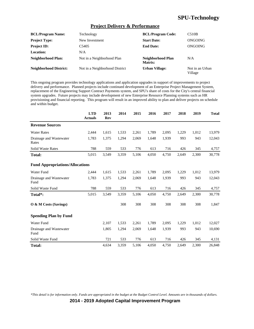#### **Project Delivery & Performance**

| <b>BCL/Program Name:</b>      | Technology                     | <b>BCL/Program Code:</b>     | C510B                      |
|-------------------------------|--------------------------------|------------------------------|----------------------------|
| <b>Project Type:</b>          | New Investment                 | <b>Start Date:</b>           | ONGOING                    |
| <b>Project ID:</b>            | C <sub>5405</sub>              | <b>End Date:</b>             | ONGOING                    |
| Location:                     | N/A                            |                              |                            |
| Neighborhood Plan:            | Not in a Neighborhood Plan     | Neighborhood Plan<br>Matrix: | N/A                        |
| <b>Neighborhood District:</b> | Not in a Neighborhood District | <b>Urban Village:</b>        | Not in an Urban<br>Village |

This ongoing program provides technology applications and application upgrades in support of improvements to project delivery and performance. Planned projects include continued development of an Enterprise Project Management System, replacement of the Engineering Support Contract Payments system, and SPU's share of costs for the City's central financial system upgrades. Future projects may include development of new Enterprise Resource Planning systems such as HR provisioning and financial reporting. This program will result in an improved ability to plan and deliver projects on schedule and within budget.

|                                        | <b>LTD</b><br><b>Actuals</b> | 2013<br>Rev | 2014  | 2015  | 2016  | 2017  | 2018  | 2019  | <b>Total</b> |
|----------------------------------------|------------------------------|-------------|-------|-------|-------|-------|-------|-------|--------------|
| <b>Revenue Sources</b>                 |                              |             |       |       |       |       |       |       |              |
| <b>Water Rates</b>                     | 2,444                        | 1,615       | 1,533 | 2,261 | 1,789 | 2,095 | 1,229 | 1,012 | 13,979       |
| Drainage and Wastewater<br>Rates       | 1,783                        | 1,375       | 1,294 | 2,069 | 1,648 | 1,939 | 993   | 943   | 12,043       |
| <b>Solid Waste Rates</b>               | 788                          | 559         | 533   | 776   | 613   | 716   | 426   | 345   | 4,757        |
| <b>Total:</b>                          | 5,015                        | 3,549       | 3,359 | 5,106 | 4,050 | 4,750 | 2,649 | 2,300 | 30,778       |
| <b>Fund Appropriations/Allocations</b> |                              |             |       |       |       |       |       |       |              |
| <b>Water Fund</b>                      | 2,444                        | 1,615       | 1,533 | 2,261 | 1,789 | 2,095 | 1,229 | 1,012 | 13,979       |
| Drainage and Wastewater<br>Fund        | 1,783                        | 1,375       | 1,294 | 2.069 | 1,648 | 1,939 | 993   | 943   | 12,043       |
| Solid Waste Fund                       | 788                          | 559         | 533   | 776   | 613   | 716   | 426   | 345   | 4,757        |
| Total*:                                | 5,015                        | 3,549       | 3,359 | 5,106 | 4,050 | 4,750 | 2,649 | 2,300 | 30,778       |
| O & M Costs (Savings)                  |                              |             | 308   | 308   | 308   | 308   | 308   | 308   | 1,847        |
| <b>Spending Plan by Fund</b>           |                              |             |       |       |       |       |       |       |              |
| <b>Water Fund</b>                      |                              | 2,107       | 1,533 | 2,261 | 1,789 | 2,095 | 1,229 | 1,012 | 12,027       |
| Drainage and Wastewater<br>Fund        |                              | 1,805       | 1,294 | 2,069 | 1,648 | 1,939 | 993   | 943   | 10,690       |
| Solid Waste Fund                       |                              | 721         | 533   | 776   | 613   | 716   | 426   | 345   | 4,131        |
| <b>Total:</b>                          |                              | 4,634       | 3,359 | 5,106 | 4,050 | 4,750 | 2,649 | 2,300 | 26,848       |

*\*This detail is for information only. Funds are appropriated in the budget at the Budget Control Level. Amounts are in thousands of dollars.*